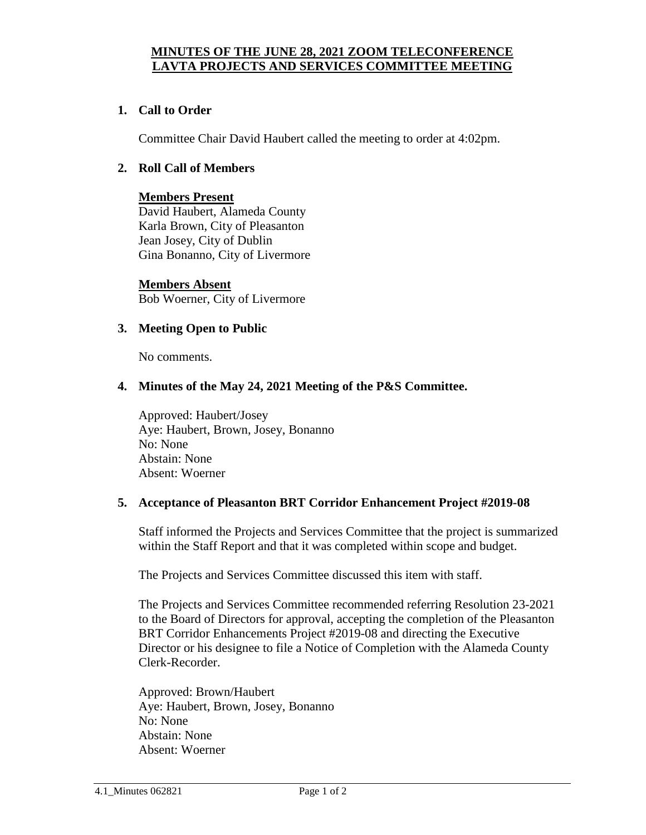## **MINUTES OF THE JUNE 28, 2021 ZOOM TELECONFERENCE LAVTA PROJECTS AND SERVICES COMMITTEE MEETING**

## **1. Call to Order**

Committee Chair David Haubert called the meeting to order at 4:02pm.

### **2. Roll Call of Members**

### **Members Present** David Haubert, Alameda County Karla Brown, City of Pleasanton Jean Josey, City of Dublin Gina Bonanno, City of Livermore

**Members Absent** Bob Woerner, City of Livermore

### **3. Meeting Open to Public**

No comments.

#### **4. Minutes of the May 24, 2021 Meeting of the P&S Committee.**

Approved: Haubert/Josey Aye: Haubert, Brown, Josey, Bonanno No: None Abstain: None Absent: Woerner

#### **5. Acceptance of Pleasanton BRT Corridor Enhancement Project #2019-08**

Staff informed the Projects and Services Committee that the project is summarized within the Staff Report and that it was completed within scope and budget.

The Projects and Services Committee discussed this item with staff.

The Projects and Services Committee recommended referring Resolution 23-2021 to the Board of Directors for approval, accepting the completion of the Pleasanton BRT Corridor Enhancements Project #2019-08 and directing the Executive Director or his designee to file a Notice of Completion with the Alameda County Clerk-Recorder.

Approved: Brown/Haubert Aye: Haubert, Brown, Josey, Bonanno No: None Abstain: None Absent: Woerner